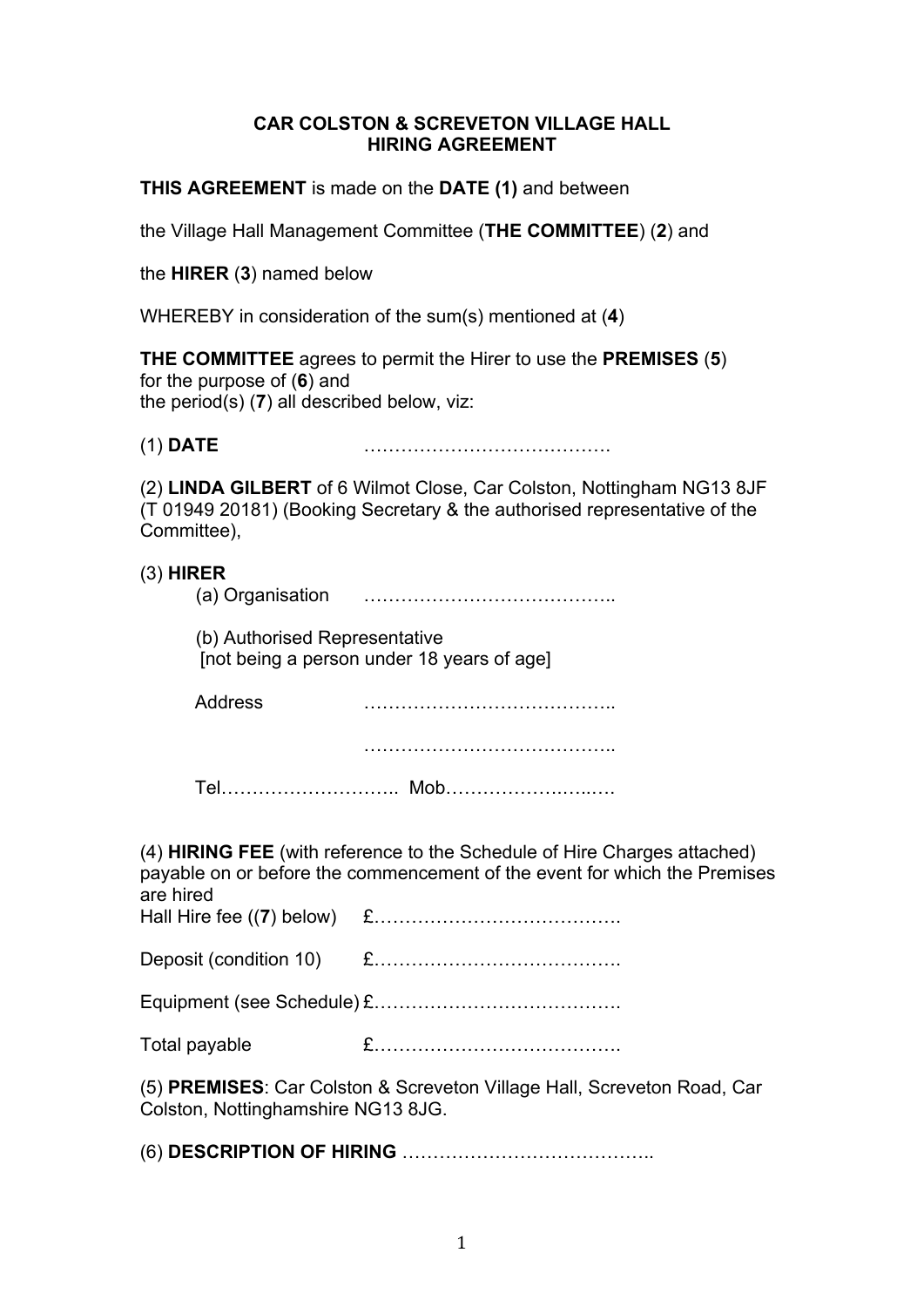## **CAR COLSTON & SCREVETON VILLAGE HALL HIRING AGREEMENT**

**THIS AGREEMENT** is made on the **DATE (1)** and between

the Village Hall Management Committee (**THE COMMITTEE**) (**2**) and

the **HIRER** (**3**) named below

WHEREBY in consideration of the sum(s) mentioned at (**4**)

**THE COMMITTEE** agrees to permit the Hirer to use the **PREMISES** (**5**) for the purpose of (**6**) and the period(s) (**7**) all described below, viz:

(1) **DATE** ………………………………….

(2) **LINDA GILBERT** of 6 Wilmot Close, Car Colston, Nottingham NG13 8JF  $(T 01949 20181)$  (Booking Secretary & the authorised representative of the Committee),

|                                                                                                                                                                           | $(3)$ HIRER    |  |  |  |  |
|---------------------------------------------------------------------------------------------------------------------------------------------------------------------------|----------------|--|--|--|--|
| (b) Authorised Representative<br>[not being a person under 18 years of age]                                                                                               |                |  |  |  |  |
|                                                                                                                                                                           | <b>Address</b> |  |  |  |  |
|                                                                                                                                                                           |                |  |  |  |  |
|                                                                                                                                                                           |                |  |  |  |  |
| (4) <b>HIRING FEE</b> (with reference to the Schedule of Hire Charges attached)<br>payable on or before the commencement of the event for which the Premises<br>are hired |                |  |  |  |  |
|                                                                                                                                                                           |                |  |  |  |  |
|                                                                                                                                                                           |                |  |  |  |  |
|                                                                                                                                                                           | Total payable  |  |  |  |  |
| (5) PREMISES: Car Colston & Screveton Village Hall, Screveton Road, Car<br>Colston, Nottinghamshire NG13 8JG.                                                             |                |  |  |  |  |
|                                                                                                                                                                           |                |  |  |  |  |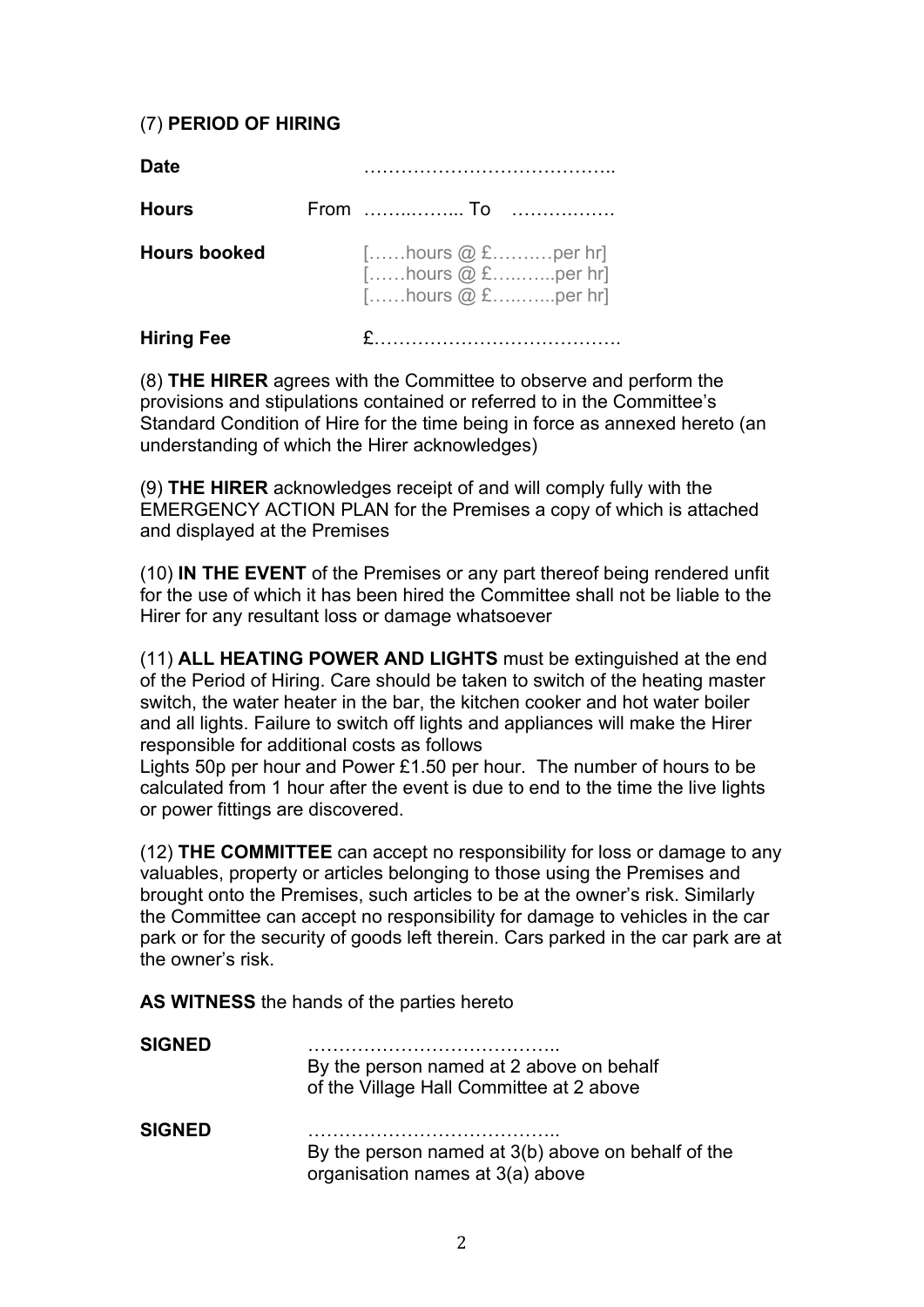# (7) **PERIOD OF HIRING**

| <b>Date</b>         |                                                                               |
|---------------------|-------------------------------------------------------------------------------|
| <b>Hours</b>        |                                                                               |
| <b>Hours booked</b> | $[]$ hours $@$ £ per hr]<br>$[$ hours $@$ £per hr]<br>$[$ hours $@$ £ per hr] |
| <b>Hiring Fee</b>   |                                                                               |

(8) **THE HIRER** agrees with the Committee to observe and perform the provisions and stipulations contained or referred to in the Committee's Standard Condition of Hire for the time being in force as annexed hereto (an understanding of which the Hirer acknowledges)

(9) **THE HIRER** acknowledges receipt of and will comply fully with the EMERGENCY ACTION PLAN for the Premises a copy of which is attached and displayed at the Premises

(10) **IN THE EVENT** of the Premises or any part thereof being rendered unfit for the use of which it has been hired the Committee shall not be liable to the Hirer for any resultant loss or damage whatsoever

(11) **ALL HEATING POWER AND LIGHTS** must be extinguished at the end of the Period of Hiring. Care should be taken to switch of the heating master switch, the water heater in the bar, the kitchen cooker and hot water boiler and all lights. Failure to switch off lights and appliances will make the Hirer responsible for additional costs as follows

Lights 50p per hour and Power £1.50 per hour. The number of hours to be calculated from 1 hour after the event is due to end to the time the live lights or power fittings are discovered.

(12) **THE COMMITTEE** can accept no responsibility for loss or damage to any valuables, property or articles belonging to those using the Premises and brought onto the Premises, such articles to be at the owner's risk. Similarly the Committee can accept no responsibility for damage to vehicles in the car park or for the security of goods left therein. Cars parked in the car park are at the owner's risk.

**AS WITNESS** the hands of the parties hereto

| <b>SIGNED</b> | By the person named at 2 above on behalf<br>of the Village Hall Committee at 2 above   |
|---------------|----------------------------------------------------------------------------------------|
| <b>SIGNED</b> | By the person named at 3(b) above on behalf of the<br>organisation names at 3(a) above |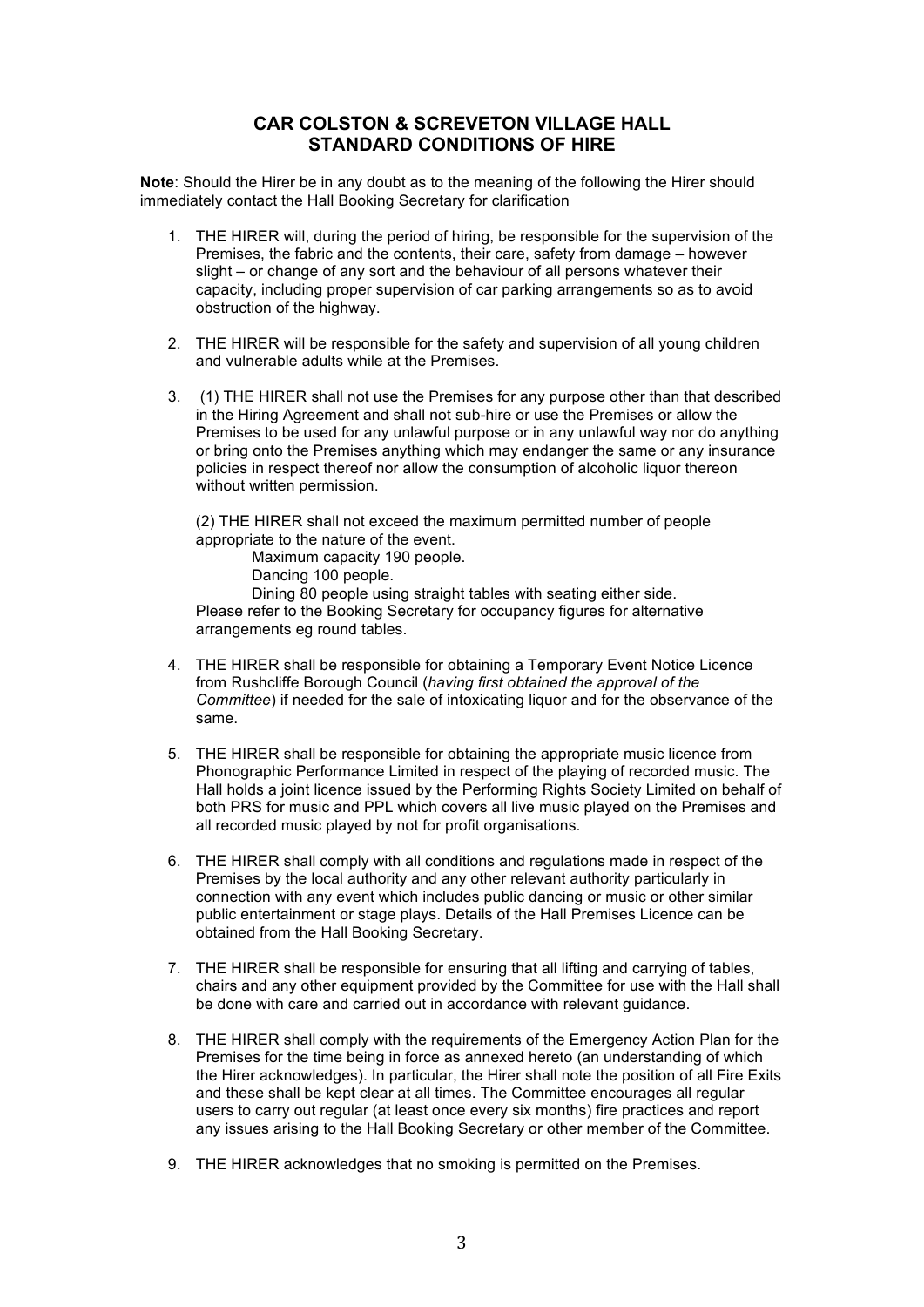## **CAR COLSTON & SCREVETON VILLAGE HALL STANDARD CONDITIONS OF HIRE**

**Note**: Should the Hirer be in any doubt as to the meaning of the following the Hirer should immediately contact the Hall Booking Secretary for clarification

- 1. THE HIRER will, during the period of hiring, be responsible for the supervision of the Premises, the fabric and the contents, their care, safety from damage – however slight – or change of any sort and the behaviour of all persons whatever their capacity, including proper supervision of car parking arrangements so as to avoid obstruction of the highway.
- 2. THE HIRER will be responsible for the safety and supervision of all young children and vulnerable adults while at the Premises.
- 3. (1) THE HIRER shall not use the Premises for any purpose other than that described in the Hiring Agreement and shall not sub-hire or use the Premises or allow the Premises to be used for any unlawful purpose or in any unlawful way nor do anything or bring onto the Premises anything which may endanger the same or any insurance policies in respect thereof nor allow the consumption of alcoholic liquor thereon without written permission.

(2) THE HIRER shall not exceed the maximum permitted number of people appropriate to the nature of the event.

Maximum capacity 190 people.

Dancing 100 people.

Dining 80 people using straight tables with seating either side.

Please refer to the Booking Secretary for occupancy figures for alternative arrangements eg round tables.

- 4. THE HIRER shall be responsible for obtaining a Temporary Event Notice Licence from Rushcliffe Borough Council (*having first obtained the approval of the Committee*) if needed for the sale of intoxicating liquor and for the observance of the same.
- 5. THE HIRER shall be responsible for obtaining the appropriate music licence from Phonographic Performance Limited in respect of the playing of recorded music. The Hall holds a joint licence issued by the Performing Rights Society Limited on behalf of both PRS for music and PPL which covers all live music played on the Premises and all recorded music played by not for profit organisations.
- 6. THE HIRER shall comply with all conditions and regulations made in respect of the Premises by the local authority and any other relevant authority particularly in connection with any event which includes public dancing or music or other similar public entertainment or stage plays. Details of the Hall Premises Licence can be obtained from the Hall Booking Secretary.
- 7. THE HIRER shall be responsible for ensuring that all lifting and carrying of tables, chairs and any other equipment provided by the Committee for use with the Hall shall be done with care and carried out in accordance with relevant guidance.
- 8. THE HIRER shall comply with the requirements of the Emergency Action Plan for the Premises for the time being in force as annexed hereto (an understanding of which the Hirer acknowledges). In particular, the Hirer shall note the position of all Fire Exits and these shall be kept clear at all times. The Committee encourages all regular users to carry out regular (at least once every six months) fire practices and report any issues arising to the Hall Booking Secretary or other member of the Committee.
- 9. THE HIRER acknowledges that no smoking is permitted on the Premises.